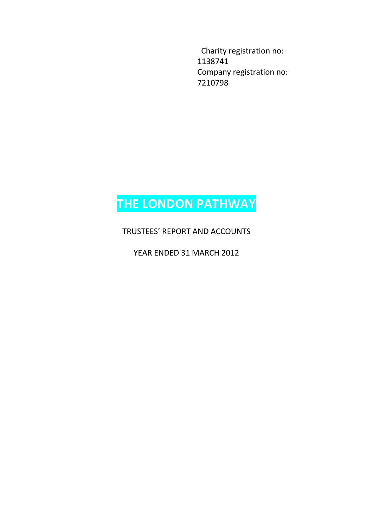Charity registration no: 1138741 Company registration no: 7210798

# **THE LONDON PATHWAY**

TRUSTEES' REPORT AND ACCOUNTS

YEAR ENDED 31 MARCH 2012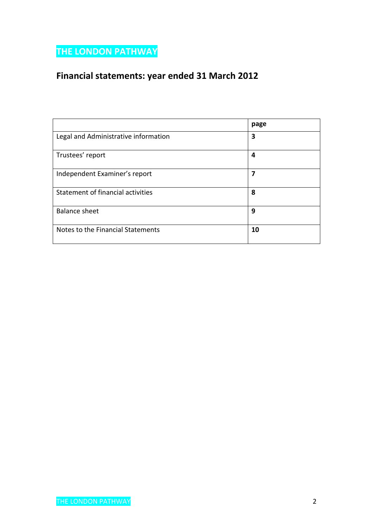## **Financial statements: year ended 31 March 2012**

|                                      | page |
|--------------------------------------|------|
| Legal and Administrative information | 3    |
| Trustees' report                     | 4    |
| Independent Examiner's report        | 7    |
| Statement of financial activities    | 8    |
| <b>Balance sheet</b>                 | 9    |
| Notes to the Financial Statements    | 10   |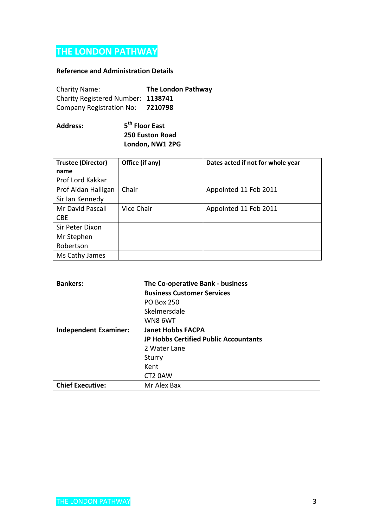### **Reference and Administration Details**

| <b>Charity Name:</b>               | <b>The London Pathway</b> |
|------------------------------------|---------------------------|
| Charity Registered Number: 1138741 |                           |
| Company Registration No:           | 7210798                   |

#### **Address: 5 th Floor East 250 Euston Road London, NW1 2PG**

| <b>Trustee (Director)</b> | Office (if any) | Dates acted if not for whole year |
|---------------------------|-----------------|-----------------------------------|
| name                      |                 |                                   |
| Prof Lord Kakkar          |                 |                                   |
| Prof Aidan Halligan       | Chair           | Appointed 11 Feb 2011             |
| Sir Ian Kennedy           |                 |                                   |
| Mr David Pascall          | Vice Chair      | Appointed 11 Feb 2011             |
| <b>CBE</b>                |                 |                                   |
| Sir Peter Dixon           |                 |                                   |
| Mr Stephen                |                 |                                   |
| Robertson                 |                 |                                   |
| Ms Cathy James            |                 |                                   |

| <b>Bankers:</b>              | The Co-operative Bank - business      |
|------------------------------|---------------------------------------|
|                              | <b>Business Customer Services</b>     |
|                              | PO Box 250                            |
|                              | Skelmersdale                          |
|                              | WN8 6WT                               |
| <b>Independent Examiner:</b> | <b>Janet Hobbs FACPA</b>              |
|                              | JP Hobbs Certified Public Accountants |
|                              | 2 Water Lane                          |
|                              | Sturry                                |
|                              | Kent                                  |
|                              | CT2 0AW                               |
| <b>Chief Executive:</b>      | Mr Alex Bax                           |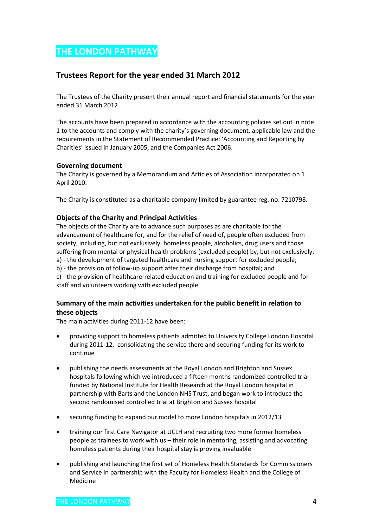### **Trustees Report for the year ended 31 March 2012**

The Trustees of the Charity present their annual report and financial statements for the year ended 31 March 2012.

The accounts have been prepared in accordance with the accounting policies set out in note 1 to the accounts and comply with the charity's governing document, applicable law and the requirements in the Statement of Recommended Practice: 'Accounting and Reporting by Charities' issued in January 2005, and the Companies Act 2006.

### **Governing document**

The Charity is governed by a Memorandum and Articles of Association incorporated on 1 April 2010.

The Charity is constituted as a charitable company limited by guarantee reg. no: 7210798.

### **Objects of the Charity and Principal Activities**

The objects of the Charity are to advance such purposes as are charitable for the advancement of healthcare for, and for the relief of need of, people often excluded from society, including, but not exclusively, homeless people, alcoholics, drug users and those suffering from mental or physical health problems (excluded people) by, but not exclusively: a) - the development of targeted healthcare and nursing support for excluded people; b) - the provision of follow-up support after their discharge from hospital; and c) - the provision of healthcare-related education and training for excluded people and for staff and volunteers working with excluded people

### **Summary of the main activities undertaken for the public benefit in relation to these objects**

The main activities during 2011-12 have been:

- providing support to homeless patients admitted to University College London Hospital during 2011-12, consolidating the service there and securing funding for its work to continue
- publishing the needs assessments at the Royal London and Brighton and Sussex hospitals following which we introduced a fifteen months randomized controlled trial funded by National Institute for Health Research at the Royal London hospital in partnership with Barts and the London NHS Trust, and began work to introduce the second randomised controlled trial at Brighton and Sussex hospital
- securing funding to expand our model to more London hospitals in 2012/13
- training our first Care Navigator at UCLH and recruiting two more former homeless people as trainees to work with us – their role in mentoring, assisting and advocating homeless patients during their hospital stay is proving invaluable
- publishing and launching the first set of Homeless Health Standards for Commissioners and Service in partnership with the Faculty for Homeless Health and the College of Medicine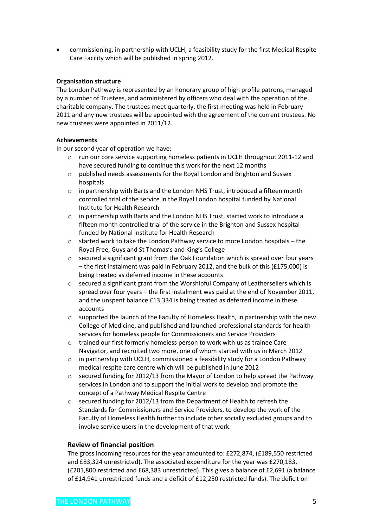commissioning, in partnership with UCLH, a feasibility study for the first Medical Respite Care Facility which will be published in spring 2012.

### **Organisation structure**

The London Pathway is represented by an honorary group of high profile patrons, managed by a number of Trustees, and administered by officers who deal with the operation of the charitable company. The trustees meet quarterly, the first meeting was held in February 2011 and any new trustees will be appointed with the agreement of the current trustees. No new trustees were appointed in 2011/12.

### **Achievements**

In our second year of operation we have:

- o run our core service supporting homeless patients in UCLH throughout 2011-12 and have secured funding to continue this work for the next 12 months
- o published needs assessments for the Royal London and Brighton and Sussex hospitals
- $\circ$  in partnership with Barts and the London NHS Trust, introduced a fifteen month controlled trial of the service in the Royal London hospital funded by National Institute for Health Research
- o in partnership with Barts and the London NHS Trust, started work to introduce a fifteen month controlled trial of the service in the Brighton and Sussex hospital funded by National Institute for Health Research
- o started work to take the London Pathway service to more London hospitals the Royal Free, Guys and St Thomas's and King's College
- $\circ$  secured a significant grant from the Oak Foundation which is spread over four years – the first instalment was paid in February 2012, and the bulk of this (£175,000) is being treated as deferred income in these accounts
- o secured a significant grant from the Worshipful Company of Leathersellers which is spread over four years – the first instalment was paid at the end of November 2011, and the unspent balance £13,334 is being treated as deferred income in these accounts
- $\circ$  supported the launch of the Faculty of Homeless Health, in partnership with the new College of Medicine, and published and launched professional standards for health services for homeless people for Commissioners and Service Providers
- $\circ$  trained our first formerly homeless person to work with us as trainee Care Navigator, and recruited two more, one of whom started with us in March 2012
- $\circ$  in partnership with UCLH, commissioned a feasibility study for a London Pathway medical respite care centre which will be published in June 2012
- $\circ$  secured funding for 2012/13 from the Mayor of London to help spread the Pathway services in London and to support the initial work to develop and promote the concept of a Pathway Medical Respite Centre
- o secured funding for 2012/13 from the Department of Health to refresh the Standards for Commissioners and Service Providers, to develop the work of the Faculty of Homeless Health further to include other socially excluded groups and to involve service users in the development of that work.

### **Review of financial position**

The gross incoming resources for the year amounted to: £272,874, (£189,550 restricted and £83,324 unrestricted). The associated expenditure for the year was £270,183, (£201,800 restricted and £68,383 unrestricted). This gives a balance of £2,691 (a balance of £14,941 unrestricted funds and a deficit of £12,250 restricted funds). The deficit on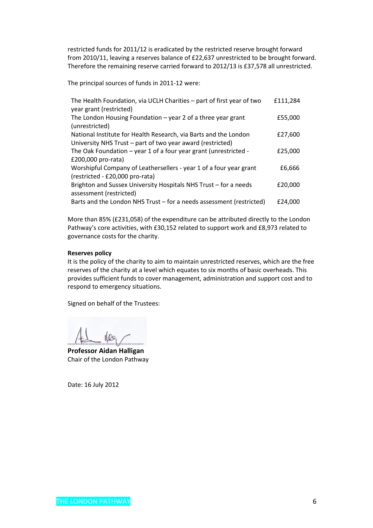restricted funds for 2011/12 is eradicated by the restricted reserve brought forward from 2010/11, leaving a reserves balance of £22,637 unrestricted to be brought forward. Therefore the remaining reserve carried forward to 2012/13 is £37,578 all unrestricted.

The principal sources of funds in 2011-12 were:

| The Health Foundation, via UCLH Charities - part of first year of two | £111,284 |
|-----------------------------------------------------------------------|----------|
| year grant (restricted)                                               |          |
| The London Housing Foundation $-$ year 2 of a three year grant        | £55,000  |
| (unrestricted)                                                        |          |
| National Institute for Health Research, via Barts and the London      | £27,600  |
| University NHS Trust - part of two year award (restricted)            |          |
| The Oak Foundation - year 1 of a four year grant (unrestricted -      | £25,000  |
| £200,000 pro-rata)                                                    |          |
| Worshipful Company of Leathersellers - year 1 of a four year grant    | £6,666   |
| (restricted - £20,000 pro-rata)                                       |          |
| Brighton and Sussex University Hospitals NHS Trust - for a needs      | £20,000  |
| assessment (restricted)                                               |          |
| Barts and the London NHS Trust – for a needs assessment (restricted)  | £24.000  |

More than 85% (£231,058) of the expenditure can be attributed directly to the London Pathway's core activities, with £30,152 related to support work and £8,973 related to governance costs for the charity.

### **Reserves policy**

It is the policy of the charity to aim to maintain unrestricted reserves, which are the free reserves of the charity at a level which equates to six months of basic overheads. This provides sufficient funds to cover management, administration and support cost and to respond to emergency situations.

Signed on behalf of the Trustees:

**Professor Aidan Halligan** Chair of the London Pathway

Date: 16 July 2012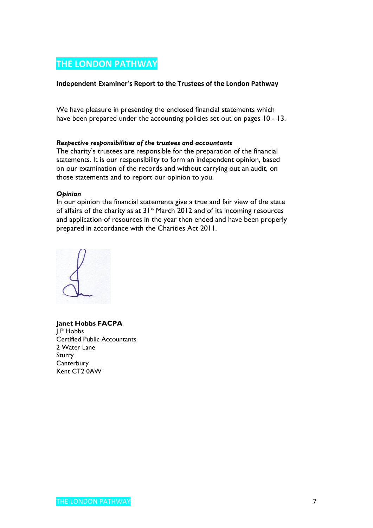### **Independent Examiner's Report to the Trustees of the London Pathway**

We have pleasure in presenting the enclosed financial statements which have been prepared under the accounting policies set out on pages 10 - 13.

### *Respective responsibilities of the trustees and accountants*

The charity's trustees are responsible for the preparation of the financial statements. It is our responsibility to form an independent opinion, based on our examination of the records and without carrying out an audit, on those statements and to report our opinion to you.

### *Opinion*

In our opinion the financial statements give a true and fair view of the state of affairs of the charity as at  $31^{st}$  March 2012 and of its incoming resources and application of resources in the year then ended and have been properly prepared in accordance with the Charities Act 2011.



**Janet Hobbs FACPA** J P Hobbs Certified Public Accountants 2 Water Lane Sturry **Canterbury** Kent CT2 0AW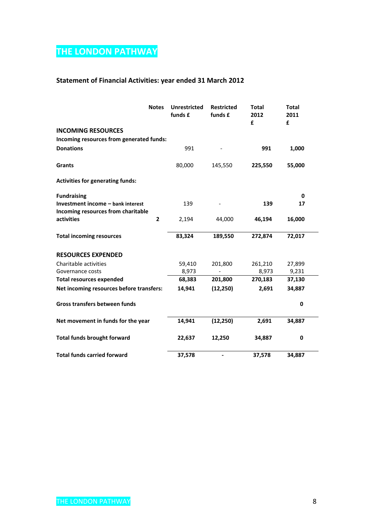### **Statement of Financial Activities: year ended 31 March 2012**

| <b>Notes</b>                             | <b>Unrestricted</b><br>funds £ | <b>Restricted</b><br>funds £ | <b>Total</b><br>2012<br>£ | <b>Total</b><br>2011<br>£ |  |
|------------------------------------------|--------------------------------|------------------------------|---------------------------|---------------------------|--|
| <b>INCOMING RESOURCES</b>                |                                |                              |                           |                           |  |
| Incoming resources from generated funds: |                                |                              |                           |                           |  |
| <b>Donations</b>                         | 991                            |                              | 991                       | 1,000                     |  |
| <b>Grants</b>                            | 80,000                         | 145,550                      | 225,550                   | 55,000                    |  |
| <b>Activities for generating funds:</b>  |                                |                              |                           |                           |  |
| <b>Fundraising</b>                       |                                |                              |                           | 0                         |  |
| Investment income - bank interest        | 139                            |                              | 139                       | 17                        |  |
| Incoming resources from charitable       |                                |                              |                           |                           |  |
| activities<br>$\overline{2}$             | 2,194                          | 44,000                       | 46,194                    | 16,000                    |  |
| <b>Total incoming resources</b>          | 83,324                         | 189,550                      | 272,874                   | 72,017                    |  |
| <b>RESOURCES EXPENDED</b>                |                                |                              |                           |                           |  |
| Charitable activities                    | 59,410                         | 201,800                      | 261,210                   | 27,899                    |  |
| Governance costs                         | 8,973                          |                              | 8,973                     | 9,231                     |  |
| <b>Total resources expended</b>          | 68,383                         | 201,800                      | 270,183                   | 37,130                    |  |
| Net incoming resources before transfers: | 14,941                         | (12, 250)                    | 2,691                     | 34,887                    |  |
| Gross transfers between funds            |                                |                              |                           | 0                         |  |
| Net movement in funds for the year       | 14,941                         | (12, 250)                    | 2,691                     | 34,887                    |  |
| <b>Total funds brought forward</b>       | 22,637                         | 12,250                       | 34,887                    | 0                         |  |
| <b>Total funds carried forward</b>       | 37,578                         |                              | 37,578                    | 34,887                    |  |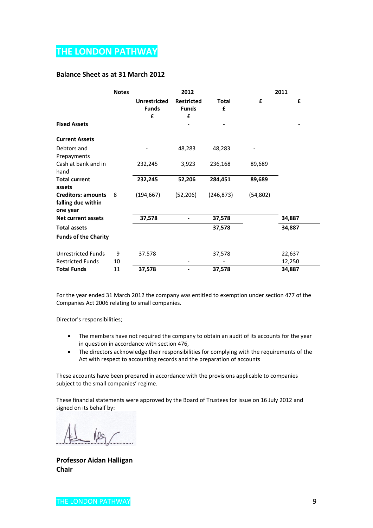### **Balance Sheet as at 31 March 2012**

|                                                             | <b>Notes</b> |                                          | 2012                                   |            |           | 2011   |
|-------------------------------------------------------------|--------------|------------------------------------------|----------------------------------------|------------|-----------|--------|
|                                                             |              | <b>Unrestricted</b><br><b>Funds</b><br>£ | <b>Restricted</b><br><b>Funds</b><br>£ | Total<br>£ | £         | £      |
| <b>Fixed Assets</b>                                         |              |                                          |                                        |            |           |        |
| <b>Current Assets</b>                                       |              |                                          |                                        |            |           |        |
| Debtors and<br>Prepayments                                  |              |                                          | 48,283                                 | 48,283     |           |        |
| Cash at bank and in<br>hand                                 |              | 232,245                                  | 3,923                                  | 236,168    | 89,689    |        |
| <b>Total current</b><br>assets                              |              | 232,245                                  | 52,206                                 | 284,451    | 89,689    |        |
| <b>Creditors: amounts</b><br>falling due within<br>one year | 8            | (194, 667)                               | (52, 206)                              | (246, 873) | (54, 802) |        |
| <b>Net current assets</b>                                   |              | 37,578                                   |                                        | 37,578     |           | 34,887 |
| <b>Total assets</b>                                         |              |                                          |                                        | 37,578     |           | 34,887 |
| <b>Funds of the Charity</b>                                 |              |                                          |                                        |            |           |        |
| <b>Unrestricted Funds</b>                                   | 9            | 37.578                                   |                                        | 37,578     |           | 22,637 |
| <b>Restricted Funds</b>                                     | 10           |                                          |                                        |            |           | 12,250 |
| <b>Total Funds</b>                                          | 11           | 37,578                                   |                                        | 37,578     |           | 34,887 |

For the year ended 31 March 2012 the company was entitled to exemption under section 477 of the Companies Act 2006 relating to small companies.

Director's responsibilities;

- The members have not required the company to obtain an audit of its accounts for the year in question in accordance with section 476,
- The directors acknowledge their responsibilities for complying with the requirements of the Act with respect to accounting records and the preparation of accounts

These accounts have been prepared in accordance with the provisions applicable to companies subject to the small companies' regime.

These financial statements were approved by the Board of Trustees for issue on 16 July 2012 and signed on its behalf by:

 $100$ 

**Professor Aidan Halligan Chair**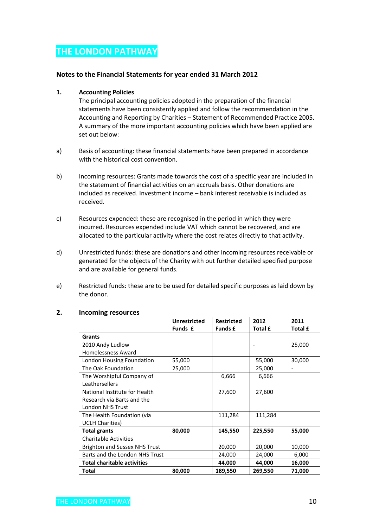### **Notes to the Financial Statements for year ended 31 March 2012**

### **1. Accounting Policies**

The principal accounting policies adopted in the preparation of the financial statements have been consistently applied and follow the recommendation in the Accounting and Reporting by Charities – Statement of Recommended Practice 2005. A summary of the more important accounting policies which have been applied are set out below:

- a) Basis of accounting: these financial statements have been prepared in accordance with the historical cost convention.
- b) Incoming resources: Grants made towards the cost of a specific year are included in the statement of financial activities on an accruals basis. Other donations are included as received. Investment income – bank interest receivable is included as received.
- c) Resources expended: these are recognised in the period in which they were incurred. Resources expended include VAT which cannot be recovered, and are allocated to the particular activity where the cost relates directly to that activity.
- d) Unrestricted funds: these are donations and other incoming resources receivable or generated for the objects of the Charity with out further detailed specified purpose and are available for general funds.
- e) Restricted funds: these are to be used for detailed specific purposes as laid down by the donor.

|                                      | <b>Unrestricted</b> | <b>Restricted</b> | 2012    | 2011           |
|--------------------------------------|---------------------|-------------------|---------|----------------|
|                                      | Funds £             | <b>Funds £</b>    | Total £ | <b>Total £</b> |
| Grants                               |                     |                   |         |                |
| 2010 Andy Ludlow                     |                     |                   |         | 25,000         |
| Homelessness Award                   |                     |                   |         |                |
| London Housing Foundation            | 55,000              |                   | 55,000  | 30,000         |
| The Oak Foundation                   | 25,000              |                   | 25,000  |                |
| The Worshipful Company of            |                     | 6,666             | 6,666   |                |
| Leathersellers                       |                     |                   |         |                |
| National Institute for Health        |                     | 27,600            | 27,600  |                |
| Research via Barts and the           |                     |                   |         |                |
| <b>London NHS Trust</b>              |                     |                   |         |                |
| The Health Foundation (via           |                     | 111,284           | 111,284 |                |
| <b>UCLH Charities)</b>               |                     |                   |         |                |
| <b>Total grants</b>                  | 80,000              | 145,550           | 225,550 | 55,000         |
| <b>Charitable Activities</b>         |                     |                   |         |                |
| <b>Brighton and Sussex NHS Trust</b> |                     | 20,000            | 20,000  | 10,000         |
| Barts and the London NHS Trust       |                     | 24,000            | 24,000  | 6,000          |
| <b>Total charitable activities</b>   |                     | 44,000            | 44,000  | 16,000         |
| Total                                | 80,000              | 189,550           | 269,550 | 71,000         |

### **2. Incoming resources**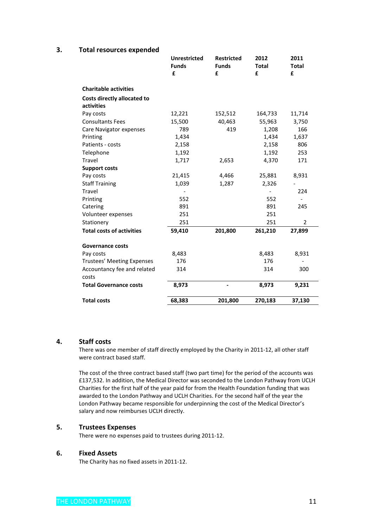### **3. Total resources expended**

|                                      | <b>Unrestricted</b><br><b>Funds</b><br>£ | <b>Restricted</b><br><b>Funds</b><br>£ | 2012<br><b>Total</b><br>£ | 2011<br><b>Total</b><br>£ |
|--------------------------------------|------------------------------------------|----------------------------------------|---------------------------|---------------------------|
| <b>Charitable activities</b>         |                                          |                                        |                           |                           |
| Costs directly allocated to          |                                          |                                        |                           |                           |
| activities                           |                                          |                                        |                           |                           |
| Pay costs                            | 12,221                                   | 152,512                                | 164,733                   | 11,714                    |
| <b>Consultants Fees</b>              | 15,500                                   | 40,463                                 | 55,963                    | 3,750                     |
| Care Navigator expenses              | 789                                      | 419                                    | 1,208                     | 166                       |
| Printing                             | 1,434                                    |                                        | 1,434                     | 1,637                     |
| Patients - costs                     | 2,158                                    |                                        | 2,158                     | 806                       |
| Telephone                            | 1,192                                    |                                        | 1,192                     | 253                       |
| Travel                               | 1,717                                    | 2,653                                  | 4,370                     | 171                       |
| <b>Support costs</b>                 |                                          |                                        |                           |                           |
| Pay costs                            | 21,415                                   | 4,466                                  | 25,881                    | 8,931                     |
| <b>Staff Training</b>                | 1,039                                    | 1,287                                  | 2,326                     |                           |
| Travel                               |                                          |                                        |                           | 224                       |
| Printing                             | 552                                      |                                        | 552                       |                           |
| Catering                             | 891                                      |                                        | 891                       | 245                       |
| Volunteer expenses                   | 251                                      |                                        | 251                       |                           |
| Stationery                           | 251                                      |                                        | 251                       | $\overline{2}$            |
| <b>Total costs of activities</b>     | 59,410                                   | 201,800                                | 261,210                   | 27,899                    |
| <b>Governance costs</b>              |                                          |                                        |                           |                           |
| Pay costs                            | 8,483                                    |                                        | 8,483                     | 8,931                     |
| Trustees' Meeting Expenses           | 176                                      |                                        | 176                       |                           |
| Accountancy fee and related<br>costs | 314                                      |                                        | 314                       | 300                       |
| <b>Total Governance costs</b>        | 8,973                                    |                                        | 8,973                     | 9,231                     |
| <b>Total costs</b>                   | 68,383                                   | 201,800                                | 270,183                   | 37,130                    |

### **4. Staff costs**

There was one member of staff directly employed by the Charity in 2011-12, all other staff were contract based staff.

The cost of the three contract based staff (two part time) for the period of the accounts was £137,532. In addition, the Medical Director was seconded to the London Pathway from UCLH Charities for the first half of the year paid for from the Health Foundation funding that was awarded to the London Pathway and UCLH Charities. For the second half of the year the London Pathway became responsible for underpinning the cost of the Medical Director's salary and now reimburses UCLH directly.

### **5. Trustees Expenses**

There were no expenses paid to trustees during 2011-12.

### **6. Fixed Assets**

The Charity has no fixed assets in 2011-12.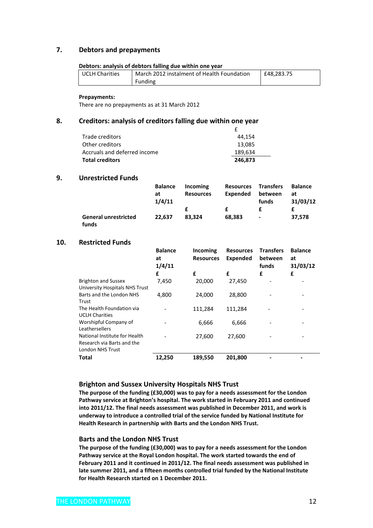### **7. Debtors and prepayments**

#### **Debtors: analysis of debtors falling due within one year**

| <b>UCLH Charities</b> | March 2012 instalment of Health Foundation | £48,283.75 |
|-----------------------|--------------------------------------------|------------|
|                       | Funding                                    |            |

#### **Prepayments:**

There are no prepayments as at 31 March 2012

### **8. Creditors: analysis of creditors falling due within one year**

| Trade creditors              | 44.154  |
|------------------------------|---------|
| Other creditors              | 13.085  |
| Accruals and deferred income | 189,634 |
| <b>Total creditors</b>       | 246.873 |

### **9. Unrestricted Funds**

|                                      | <b>Balance</b> | Incoming         | <b>Resources</b> | <b>Transfers</b>         | <b>Balance</b> |
|--------------------------------------|----------------|------------------|------------------|--------------------------|----------------|
|                                      | at<br>1/4/11   | <b>Resources</b> | Expended         | between<br>funds         | at<br>31/03/12 |
|                                      |                |                  |                  |                          |                |
|                                      |                |                  | f                |                          |                |
| <b>General unrestricted</b><br>funds | 22.637         | 83.324           | 68,383           | $\overline{\phantom{a}}$ | 37.578         |

### **10. Restricted Funds**

|                                | <b>Balance</b><br>at<br>1/4/11 | Incoming<br><b>Resources</b> | <b>Resources</b><br><b>Expended</b> | <b>Transfers</b><br>between<br>funds | <b>Balance</b><br>at<br>31/03/12 |
|--------------------------------|--------------------------------|------------------------------|-------------------------------------|--------------------------------------|----------------------------------|
|                                | £                              | £                            | £                                   | £                                    | £                                |
| <b>Brighton and Sussex</b>     | 7,450                          | 20,000                       | 27,450                              |                                      |                                  |
| University Hospitals NHS Trust |                                |                              |                                     |                                      |                                  |
| Barts and the London NHS       | 4,800                          | 24,000                       | 28,800                              |                                      |                                  |
| Trust                          |                                |                              |                                     |                                      |                                  |
| The Health Foundation via      |                                | 111,284                      | 111,284                             |                                      |                                  |
| <b>UCLH Charities</b>          |                                |                              |                                     |                                      |                                  |
| Worshipful Company of          |                                | 6,666                        | 6,666                               |                                      |                                  |
| Leathersellers                 |                                |                              |                                     |                                      |                                  |
| National Institute for Health  |                                | 27,600                       | 27,600                              |                                      |                                  |
| Research via Barts and the     |                                |                              |                                     |                                      |                                  |
| London NHS Trust               |                                |                              |                                     |                                      |                                  |
| <b>Total</b>                   | 12,250                         | 189,550                      | 201,800                             |                                      |                                  |

### **Brighton and Sussex University Hospitals NHS Trust**

**The purpose of the funding (£30,000) was to pay for a needs assessment for the London Pathway service at Brighton's hospital. The work started in February 2011 and continued into 2011/12. The final needs assessment was published in December 2011, and work is underway to introduce a controlled trial of the service funded by National Institute for Health Research in partnership with Barts and the London NHS Trust.**

#### **Barts and the London NHS Trust**

**The purpose of the funding (£30,000) was to pay for a needs assessment for the London Pathway service at the Royal London hospital. The work started towards the end of February 2011 and it continued in 2011/12. The final needs assessment was published in late summer 2011, and a fifteen months controlled trial funded by the National Institute for Health Research started on 1 December 2011.**